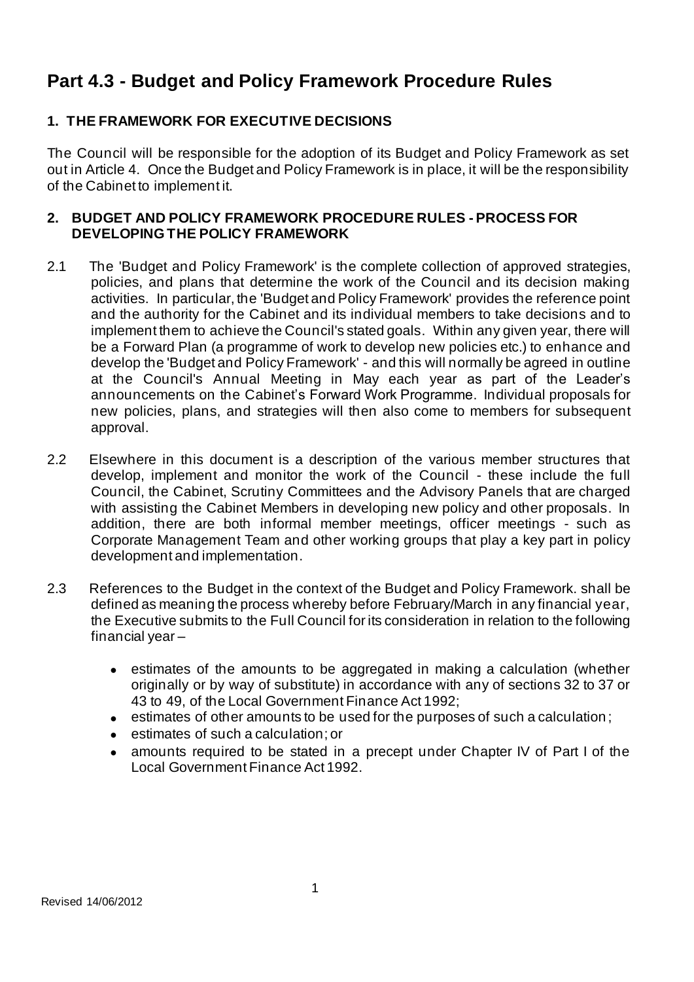# **Part 4.3 - Budget and Policy Framework Procedure Rules**

## **1. THE FRAMEWORK FOR EXECUTIVE DECISIONS**

The Council will be responsible for the adoption of its Budget and Policy Framework as set out in Article 4. Once the Budget and Policy Framework is in place, it will be the responsibility of the Cabinet to implement it.

## **2. BUDGET AND POLICY FRAMEWORK PROCEDURE RULES - PROCESS FOR DEVELOPING THE POLICY FRAMEWORK**

- 2.1 The 'Budget and Policy Framework' is the complete collection of approved strategies, policies, and plans that determine the work of the Council and its decision making activities. In particular, the 'Budget and Policy Framework' provides the reference point and the authority for the Cabinet and its individual members to take decisions and to implement them to achieve the Council's stated goals. Within any given year, there will be a Forward Plan (a programme of work to develop new policies etc.) to enhance and develop the 'Budget and Policy Framework' - and this will normally be agreed in outline at the Council's Annual Meeting in May each year as part of the Leader's announcements on the Cabinet's Forward Work Programme. Individual proposals for new policies, plans, and strategies will then also come to members for subsequent approval.
- 2.2 Elsewhere in this document is a description of the various member structures that develop, implement and monitor the work of the Council - these include the full Council, the Cabinet, Scrutiny Committees and the Advisory Panels that are charged with assisting the Cabinet Members in developing new policy and other proposals. In addition, there are both informal member meetings, officer meetings - such as Corporate Management Team and other working groups that play a key part in policy development and implementation.
- 2.3 References to the Budget in the context of the Budget and Policy Framework. shall be defined as meaning the process whereby before February/March in any financial year, the Executive submits to the Full Council for its consideration in relation to the following financial year –
	- estimates of the amounts to be aggregated in making a calculation (whether originally or by way of substitute) in accordance with any of sections 32 to 37 or 43 to 49, of the Local Government Finance Act 1992;
	- estimates of other amounts to be used for the purposes of such a calculation;
	- estimates of such a calculation; or
	- amounts required to be stated in a precept under Chapter IV of Part I of the Local Government Finance Act 1992.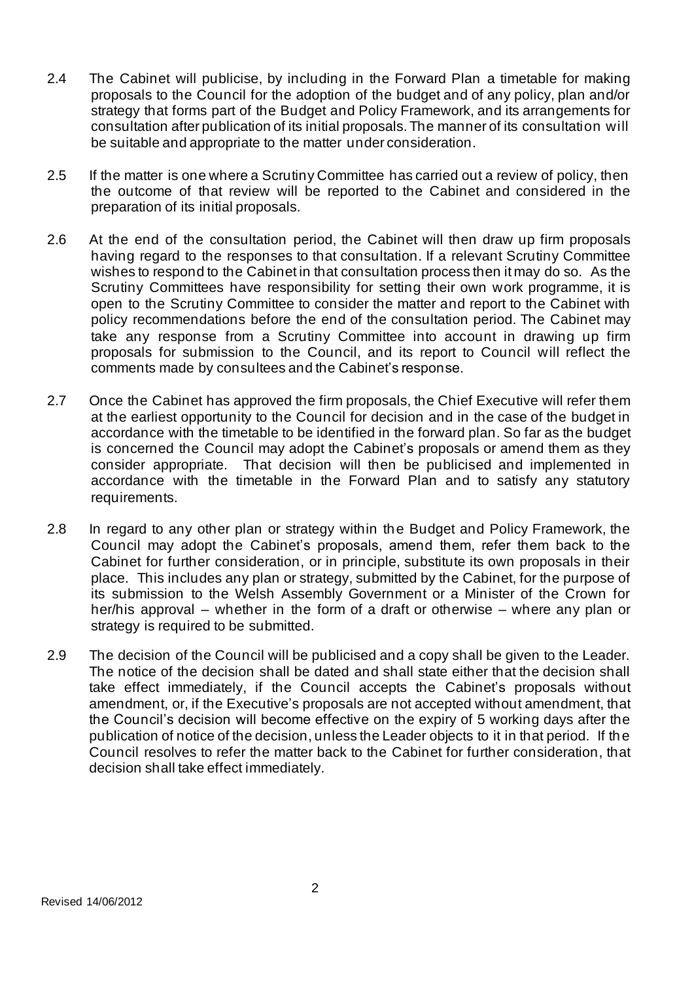- 2.4 The Cabinet will publicise, by including in the Forward Plan a timetable for making proposals to the Council for the adoption of the budget and of any policy, plan and/or strategy that forms part of the Budget and Policy Framework, and its arrangements for consultation after publication of its initial proposals. The manner of its consultation will be suitable and appropriate to the matter under consideration.
- 2.5 If the matter is one where a Scrutiny Committee has carried out a review of policy, then the outcome of that review will be reported to the Cabinet and considered in the preparation of its initial proposals.
- 2.6 At the end of the consultation period, the Cabinet will then draw up firm proposals having regard to the responses to that consultation. If a relevant Scrutiny Committee wishes to respond to the Cabinet in that consultation process then it may do so. As the Scrutiny Committees have responsibility for setting their own work programme, it is open to the Scrutiny Committee to consider the matter and report to the Cabinet with policy recommendations before the end of the consultation period. The Cabinet may take any response from a Scrutiny Committee into account in drawing up firm proposals for submission to the Council, and its report to Council will reflect the comments made by consultees and the Cabinet's response.
- 2.7 Once the Cabinet has approved the firm proposals, the Chief Executive will refer them at the earliest opportunity to the Council for decision and in the case of the budget in accordance with the timetable to be identified in the forward plan. So far as the budget is concerned the Council may adopt the Cabinet's proposals or amend them as they consider appropriate. That decision will then be publicised and implemented in accordance with the timetable in the Forward Plan and to satisfy any statutory requirements.
- 2.8 In regard to any other plan or strategy within the Budget and Policy Framework, the Council may adopt the Cabinet's proposals, amend them, refer them back to the Cabinet for further consideration, or in principle, substitute its own proposals in their place. This includes any plan or strategy, submitted by the Cabinet, for the purpose of its submission to the Welsh Assembly Government or a Minister of the Crown for her/his approval – whether in the form of a draft or otherwise – where any plan or strategy is required to be submitted.
- 2.9 The decision of the Council will be publicised and a copy shall be given to the Leader. The notice of the decision shall be dated and shall state either that the decision shall take effect immediately, if the Council accepts the Cabinet's proposals without amendment, or, if the Executive's proposals are not accepted without amendment, that the Council's decision will become effective on the expiry of 5 working days after the publication of notice of the decision, unless the Leader objects to it in that period. If the Council resolves to refer the matter back to the Cabinet for further consideration, that decision shall take effect immediately.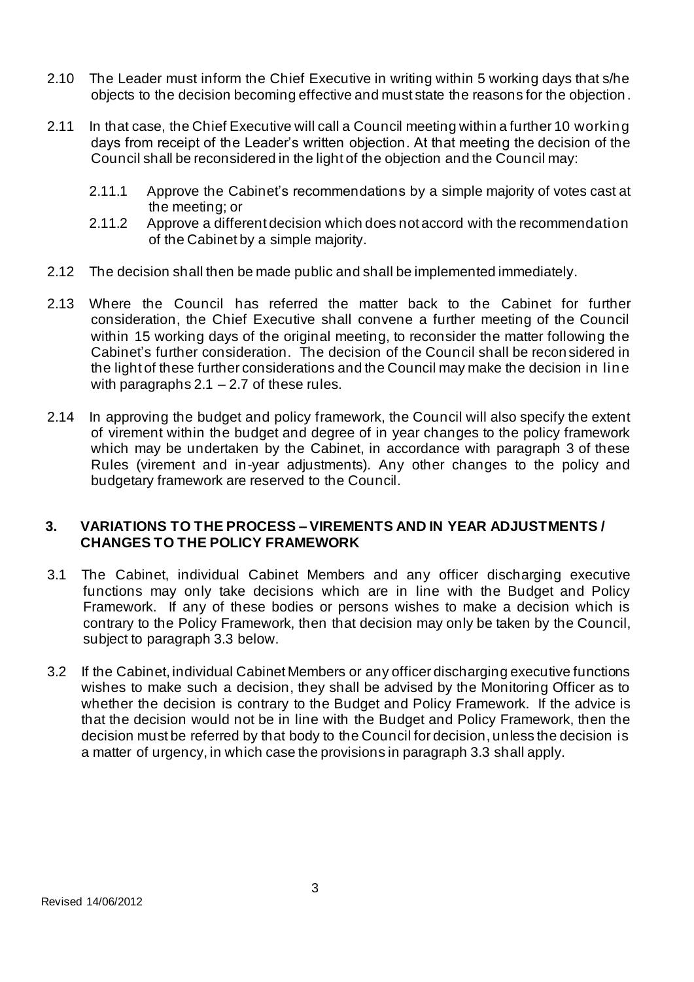- 2.10 The Leader must inform the Chief Executive in writing within 5 working days that s/he objects to the decision becoming effective and must state the reasons for the objection .
- 2.11 In that case, the Chief Executive will call a Council meeting within a further 10 working days from receipt of the Leader's written objection. At that meeting the decision of the Council shall be reconsidered in the light of the objection and the Council may:
	- 2.11.1 Approve the Cabinet's recommendations by a simple majority of votes cast at the meeting; or
	- 2.11.2 Approve a different decision which does not accord with the recommendation of the Cabinet by a simple majority.
- 2.12 The decision shall then be made public and shall be implemented immediately.
- 2.13 Where the Council has referred the matter back to the Cabinet for further consideration, the Chief Executive shall convene a further meeting of the Council within 15 working days of the original meeting, to reconsider the matter following the Cabinet's further consideration. The decision of the Council shall be recon sidered in the light of these further considerations and the Council may make the decision in line with paragraphs  $2.1 - 2.7$  of these rules.
- 2.14 In approving the budget and policy framework, the Council will also specify the extent of virement within the budget and degree of in year changes to the policy framework which may be undertaken by the Cabinet, in accordance with paragraph 3 of these Rules (virement and in-year adjustments). Any other changes to the policy and budgetary framework are reserved to the Council.

## **3. VARIATIONS TO THE PROCESS – VIREMENTS AND IN YEAR ADJUSTMENTS / CHANGES TO THE POLICY FRAMEWORK**

- 3.1 The Cabinet, individual Cabinet Members and any officer discharging executive functions may only take decisions which are in line with the Budget and Policy Framework. If any of these bodies or persons wishes to make a decision which is contrary to the Policy Framework, then that decision may only be taken by the Council, subject to paragraph 3.3 below.
- 3.2 If the Cabinet, individual Cabinet Members or any officer discharging executive functions wishes to make such a decision, they shall be advised by the Monitoring Officer as to whether the decision is contrary to the Budget and Policy Framework. If the advice is that the decision would not be in line with the Budget and Policy Framework, then the decision must be referred by that body to the Council for decision, unless the decision is a matter of urgency, in which case the provisions in paragraph 3.3 shall apply.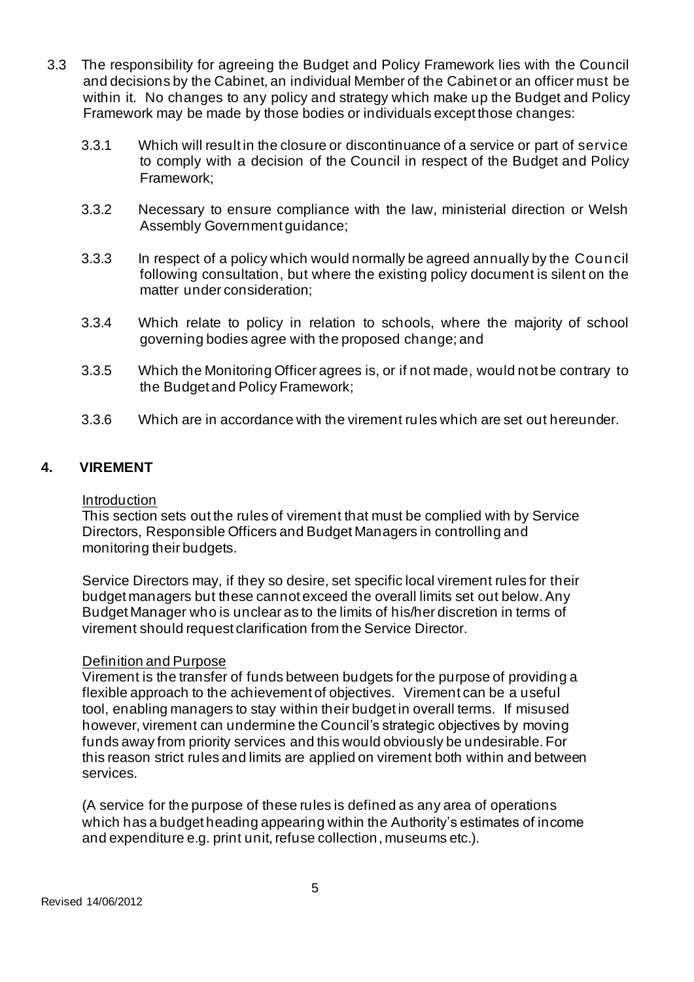- 3.3 The responsibility for agreeing the Budget and Policy Framework lies with the Council and decisions by the Cabinet, an individual Member of the Cabinet or an officer must be within it. No changes to any policy and strategy which make up the Budget and Policy Framework may be made by those bodies or individuals except those changes:
	- 3.3.1 Which will result in the closure or discontinuance of a service or part of service to comply with a decision of the Council in respect of the Budget and Policy Framework;
	- 3.3.2 Necessary to ensure compliance with the law, ministerial direction or Welsh Assembly Government guidance;
	- 3.3.3 In respect of a policy which would normally be agreed annually by the Council following consultation, but where the existing policy document is silent on the matter under consideration;
	- 3.3.4 Which relate to policy in relation to schools, where the majority of school governing bodies agree with the proposed change; and
	- 3.3.5 Which the Monitoring Officer agrees is, or if not made, would not be contrary to the Budget and Policy Framework;
	- 3.3.6 Which are in accordance with the virement rules which are set out hereunder.

## **4. VIREMENT**

#### Introduction

This section sets out the rules of virement that must be complied with by Service Directors, Responsible Officers and Budget Managers in controlling and monitoring their budgets.

Service Directors may, if they so desire, set specific local virement rules for their budget managers but these cannot exceed the overall limits set out below. Any Budget Manager who is unclear as to the limits of his/her discretion in terms of virement should request clarification from the Service Director.

#### Definition and Purpose

Virement is the transfer of funds between budgets for the purpose of providing a flexible approach to the achievement of objectives. Virement can be a useful tool, enabling managers to stay within their budget in overall terms. If misused however, virement can undermine the Council's strategic objectives by moving funds away from priority services and this would obviously be undesirable. For this reason strict rules and limits are applied on virement both within and between services.

(A service for the purpose of these rules is defined as any area of operations which has a budget heading appearing within the Authority's estimates of income and expenditure e.g. print unit, refuse collection, museums etc.).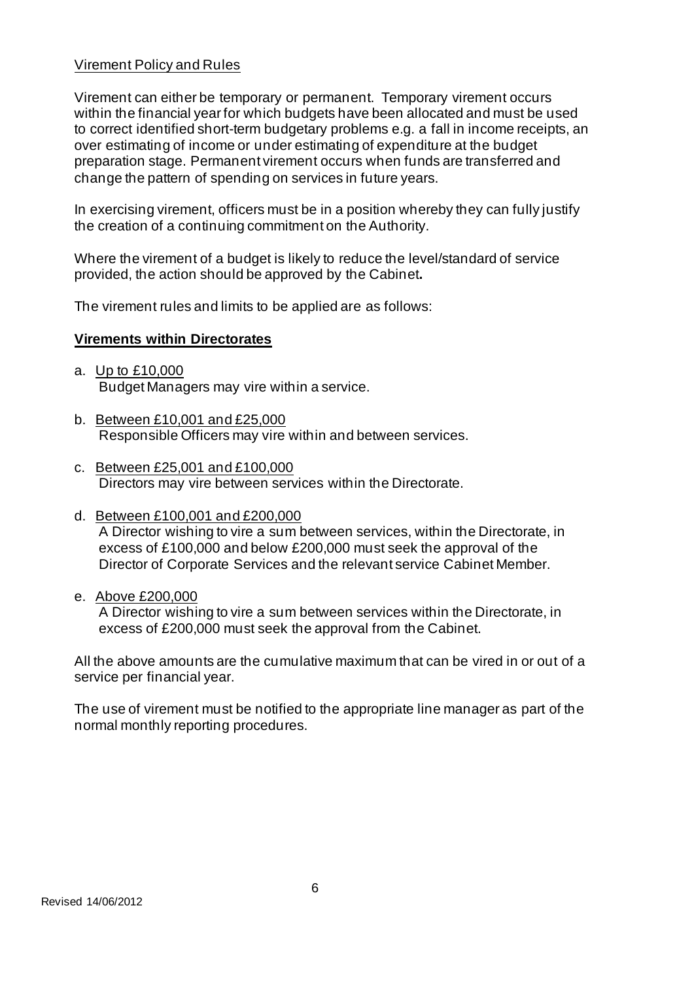## Virement Policy and Rules

Virement can either be temporary or permanent. Temporary virement occurs within the financial year for which budgets have been allocated and must be used to correct identified short-term budgetary problems e.g. a fall in income receipts, an over estimating of income or under estimating of expenditure at the budget preparation stage. Permanent virement occurs when funds are transferred and change the pattern of spending on services in future years.

In exercising virement, officers must be in a position whereby they can fully justify the creation of a continuing commitment on the Authority.

Where the virement of a budget is likely to reduce the level/standard of service provided, the action should be approved by the Cabinet**.**

The virement rules and limits to be applied are as follows:

#### **Virements within Directorates**

- a. Up to £10,000 Budget Managers may vire within a service.
- b. Between £10,001 and £25,000 Responsible Officers may vire within and between services.
- c. Between £25,001 and £100,000 Directors may vire between services within the Directorate.
- d. Between £100,001 and £200,000 A Director wishing to vire a sum between services, within the Directorate, in excess of £100,000 and below £200,000 must seek the approval of the Director of Corporate Services and the relevant service Cabinet Member.
- e. Above £200,000

A Director wishing to vire a sum between services within the Directorate, in excess of £200,000 must seek the approval from the Cabinet.

All the above amounts are the cumulative maximum that can be vired in or out of a service per financial year.

The use of virement must be notified to the appropriate line manager as part of the normal monthly reporting procedures.